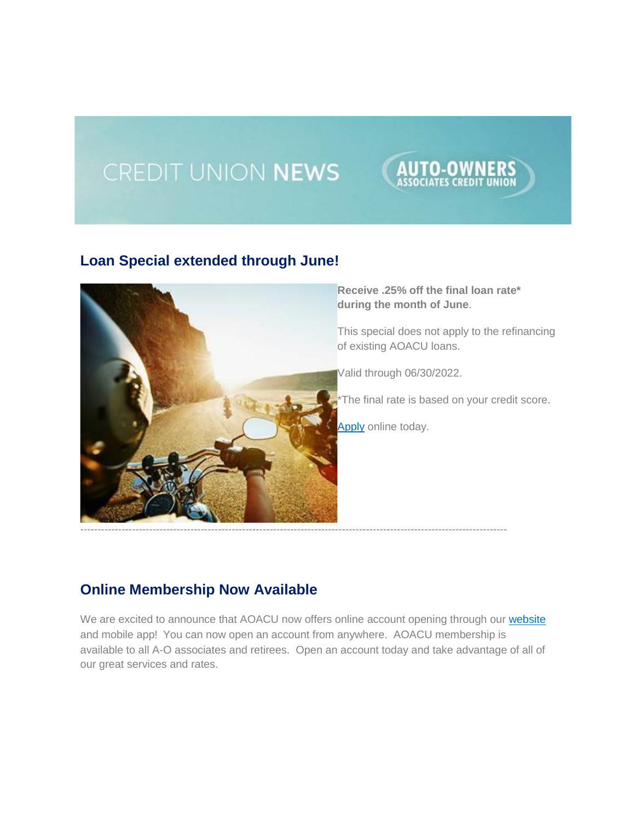# CREDIT UNION NEWS

## **Loan Special extended through June!**



**Receive .25% off the final loan rate\* during the month of June**.

This special does not apply to the refinancing of existing AOACU loans.

UTO-OWN

Valid through 06/30/2022.

\*The final rate is based on your credit score.

[Apply](http://www.aoacu.com/) online today.

#### **Online Membership Now Available**

We are excited to announce that AOACU now offers online account opening through our [website](http://www.aoacu.com/) and mobile app! You can now open an account from anywhere. AOACU membership is available to all A-O associates and retirees. Open an account today and take advantage of all of our great services and rates.

----------------------------------------------------------------------------------------------------------------------------